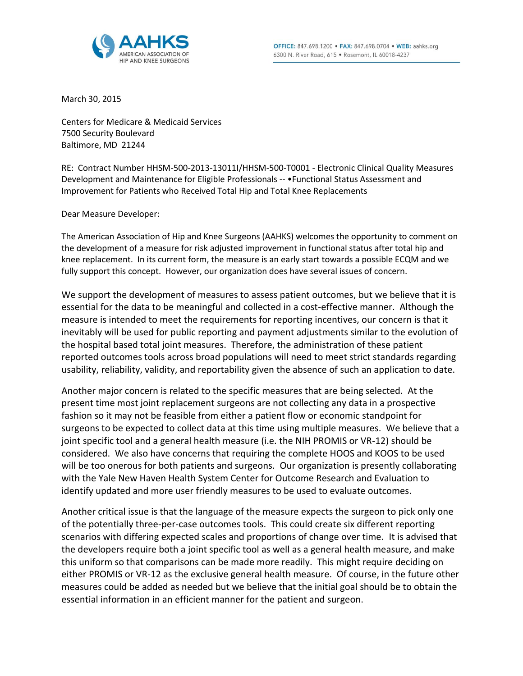

March 30, 2015

Centers for Medicare & Medicaid Services 7500 Security Boulevard Baltimore, MD 21244

RE: Contract Number HHSM-500-2013-13011I/HHSM-500-T0001 - Electronic Clinical Quality Measures Development and Maintenance for Eligible Professionals -- • Functional Status Assessment and Improvement for Patients who Received Total Hip and Total Knee Replacements

Dear Measure Developer:

The American Association of Hip and Knee Surgeons (AAHKS) welcomes the opportunity to comment on the development of a measure for risk adjusted improvement in functional status after total hip and knee replacement. In its current form, the measure is an early start towards a possible ECQM and we fully support this concept. However, our organization does have several issues of concern.

We support the development of measures to assess patient outcomes, but we believe that it is essential for the data to be meaningful and collected in a cost-effective manner. Although the measure is intended to meet the requirements for reporting incentives, our concern is that it inevitably will be used for public reporting and payment adjustments similar to the evolution of the hospital based total joint measures. Therefore, the administration of these patient reported outcomes tools across broad populations will need to meet strict standards regarding usability, reliability, validity, and reportability given the absence of such an application to date.

Another major concern is related to the specific measures that are being selected. At the present time most joint replacement surgeons are not collecting any data in a prospective fashion so it may not be feasible from either a patient flow or economic standpoint for surgeons to be expected to collect data at this time using multiple measures. We believe that a joint specific tool and a general health measure (i.e. the NIH PROMIS or VR-12) should be considered. We also have concerns that requiring the complete HOOS and KOOS to be used will be too onerous for both patients and surgeons. Our organization is presently collaborating with the Yale New Haven Health System Center for Outcome Research and Evaluation to identify updated and more user friendly measures to be used to evaluate outcomes.

Another critical issue is that the language of the measure expects the surgeon to pick only one of the potentially three-per-case outcomes tools. This could create six different reporting scenarios with differing expected scales and proportions of change over time. It is advised that the developers require both a joint specific tool as well as a general health measure, and make this uniform so that comparisons can be made more readily. This might require deciding on either PROMIS or VR-12 as the exclusive general health measure. Of course, in the future other measures could be added as needed but we believe that the initial goal should be to obtain the essential information in an efficient manner for the patient and surgeon.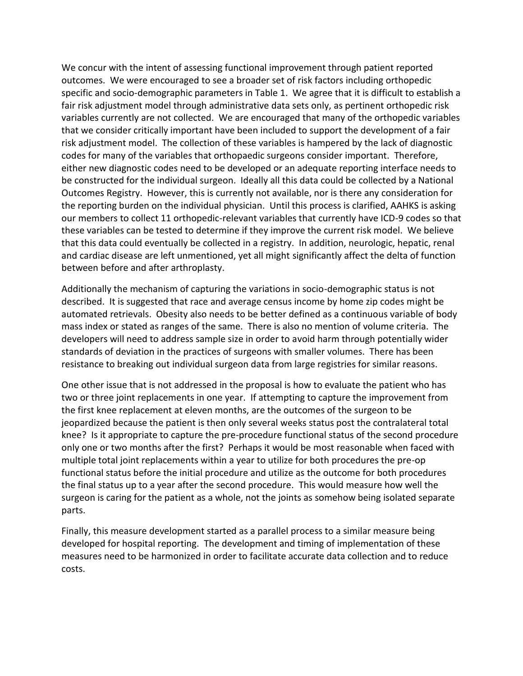We concur with the intent of assessing functional improvement through patient reported outcomes. We were encouraged to see a broader set of risk factors including orthopedic specific and socio-demographic parameters in Table 1. We agree that it is difficult to establish a fair risk adjustment model through administrative data sets only, as pertinent orthopedic risk variables currently are not collected. We are encouraged that many of the orthopedic variables that we consider critically important have been included to support the development of a fair risk adjustment model. The collection of these variables is hampered by the lack of diagnostic codes for many of the variables that orthopaedic surgeons consider important. Therefore, either new diagnostic codes need to be developed or an adequate reporting interface needs to be constructed for the individual surgeon. Ideally all this data could be collected by a National Outcomes Registry. However, this is currently not available, nor is there any consideration for the reporting burden on the individual physician. Until this process is clarified, AAHKS is asking our members to collect 11 orthopedic-relevant variables that currently have ICD-9 codes so that these variables can be tested to determine if they improve the current risk model. We believe that this data could eventually be collected in a registry. In addition, neurologic, hepatic, renal and cardiac disease are left unmentioned, yet all might significantly affect the delta of function between before and after arthroplasty.

Additionally the mechanism of capturing the variations in socio-demographic status is not described. It is suggested that race and average census income by home zip codes might be automated retrievals. Obesity also needs to be better defined as a continuous variable of body mass index or stated as ranges of the same. There is also no mention of volume criteria. The developers will need to address sample size in order to avoid harm through potentially wider standards of deviation in the practices of surgeons with smaller volumes. There has been resistance to breaking out individual surgeon data from large registries for similar reasons.

One other issue that is not addressed in the proposal is how to evaluate the patient who has two or three joint replacements in one year. If attempting to capture the improvement from the first knee replacement at eleven months, are the outcomes of the surgeon to be jeopardized because the patient is then only several weeks status post the contralateral total knee? Is it appropriate to capture the pre-procedure functional status of the second procedure only one or two months after the first? Perhaps it would be most reasonable when faced with multiple total joint replacements within a year to utilize for both procedures the pre-op functional status before the initial procedure and utilize as the outcome for both procedures the final status up to a year after the second procedure. This would measure how well the surgeon is caring for the patient as a whole, not the joints as somehow being isolated separate parts.

Finally, this measure development started as a parallel process to a similar measure being developed for hospital reporting. The development and timing of implementation of these measures need to be harmonized in order to facilitate accurate data collection and to reduce costs.